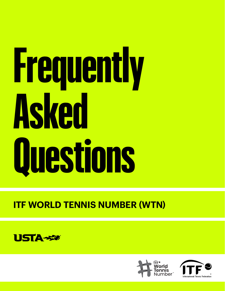# **ITF WORLD TENNIS NUMBER (WTN)**







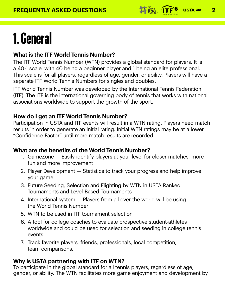# **FREQUENTLY ASKED QUESTIONS 2**



# **1. General**

### **What is the ITF World Tennis Number?**

The ITF World Tennis Number (WTN) provides a global standard for players. It is a 40-1 scale, with 40 being a beginner player and 1 being an elite professional. This scale is for all players, regardless of age, gender, or ability. Players will have a separate ITF World Tennis Numbers for singles and doubles.

ITF World Tennis Number was developed by the International Tennis Federation (ITF). The ITF is the international governing body of tennis that works with national associations worldwide to support the growth of the sport.

## **How do I get an ITF World Tennis Number?**

Participation in USTA and ITF events will result in a WTN rating. Players need match results in order to generate an initial rating. Initial WTN ratings may be at a lower "Confidence Factor" until more match results are recorded.

# **What are the benefits of the World Tennis Number?**

1. GameZone — Easily identify players at your level for closer matches, more

- fun and more improvement
- 2. Player Development Statistics to track your progress and help improve your game
- 3. Future Seeding, Selection and Flighting by WTN in USTA Ranked Tournaments and Level-Based Tournaments
- 4. International system Players from all over the world will be using the World Tennis Number
- 5. WTN to be used in ITF tournament selection
- 6. A tool for college coaches to evaluate prospective student-athletes worldwide and could be used for selection and seeding in college tennis events

7. Track favorite players, friends, professionals, local competition, team comparisons.

#### **Why is USTA partnering with ITF on WTN?**

To participate in the global standard for all tennis players, regardless of age, gender, or ability. The WTN facilitates more game enjoyment and development by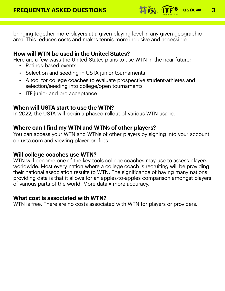### **FREQUENTLY ASKED QUESTIONS 3 1 FOR SERIES 17F<sup>S</sup> USTA-52**



bringing together more players at a given playing level in any given geographic area. This reduces costs and makes tennis more inclusive and accessible.

# **How will WTN be used in the United States?**

Here are a few ways the United States plans to use WTN in the near future:

- Ratings-based events
- Selection and seeding in USTA junior tournaments

- A tool for college coaches to evaluate prospective student-athletes and selection/seeding into college/open tournaments
- ITF junior and pro acceptance

### **When will USTA start to use the WTN?**

In 2022, the USTA will begin a phased rollout of various WTN usage.

# **Where can I find my WTN and WTNs of other players?**

You can access your WTN and WTNs of other players by signing into your account on usta.com and viewing player profiles.

# **Will college coaches use WTN?**

WTN will become one of the key tools college coaches may use to assess players worldwide. Most every nation where a college coach is recruiting will be providing their national association results to WTN. The significance of having many nations providing data is that it allows for an apples-to-apples comparison amongst players of various parts of the world. More data = more accuracy.

# **What cost is associated with WTN?**

WTN is free. There are no costs associated with WTN for players or providers.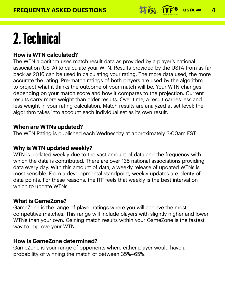### **FREQUENTLY ASKED QUESTIONS 14 FILM CONTROL TO USTA-50**



# **2. Technical**

# **How is WTN calculated?**

The WTN algorithm uses match result data as provided by a player's national association (USTA) to calculate your WTN. Results provided by the USTA from as far back as 2016 can be used in calculating your rating. The more data used, the more accurate the rating. Pre-match ratings of both players are used by the algorithm to project what it thinks the outcome of your match will be. Your WTN changes depending on your match score and how it compares to the projection. Current results carry more weight than older results. Over time, a result carries less and less weight in your rating calculation. Match results are analyzed at set level; the algorithm takes into account each individual set as its own result.

# **When are WTNs updated?**

The WTN Rating is published each Wednesday at approximately 3:00am EST.

# **Why is WTN updated weekly?**

WTN is updated weekly due to the vast amount of data and the frequency with

which the data is contributed. There are over 135 national associations providing data every day. With this amount of data, a weekly release of updated WTNs is most sensible. From a developmental standpoint, weekly updates are plenty of data points. For these reasons, the ITF feels that weekly is the best interval on which to update WTNs.

# **What is GameZone?**

GameZone is the range of player ratings where you will achieve the most competitive matches. This range will include players with slightly higher and lower WTNs than your own. Gaining match results within your GameZone is the fastest way to improve your WTN.

#### **How is GameZone determined?**

GameZone is your range of opponents where either player would have a probability of winning the match of between 35%–65%.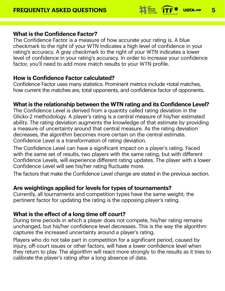#### **FREQUENTLY ASKED QUESTIONS 19 FOR SERVICE 19 PREQUENTLY ASKED QUESTIONS**



# **What is the Confidence Factor?**

The Confidence Factor is a measure of how accurate your rating is. A blue checkmark to the right of your WTN indicates a high level of confidence in your rating's accuracy. A gray checkmark to the right of your WTN indicates a lower level of confidence in your rating's accuracy. In order to increase your confidence factor, you'll need to add more match results to your WTN profile.

#### **How is Confidence Factor calculated?**

Confidence Factor uses many statistics. Prominent metrics include +total matches, how current the matches are, total opponents, and confidence factor of opponents.

#### **What is the relationship between the WTN rating and its Confidence Level?** The Confidence Level is derived from a quantity called rating deviation in the Glicko-2 methodology. A player's rating is a central measure of his/her estimated ability. The rating deviation augments the knowledge of that estimate by providing a measure of uncertainty around that central measure. As the rating deviation decreases, the algorithm becomes more certain on the central estimate. Confidence Level is a transformation of rating deviation.

The Confidence Level can have a significant impact on a player's rating. Faced with the same set of results, two players with the same rating, but with different Confidence Levels, will experience different rating updates. The player with a lower Confidence Level will see his/her rating fluctuate more.

The factors that make the Confidence Level change are stated in the previous section.

# **Are weightings applied for levels for types of tournaments?**

Currently, all tournaments and competition types have the same weight; the pertinent factor for updating the rating is the opposing player's rating.

# **What is the effect of a long time off court?**

During time periods in which a player does not compete, his/her rating remains unchanged, but his/her confidence level decreases. This is the way the algorithm captures the increased uncertainty around a player's rating.

Players who do not take part in competition for a significant period, caused by injury, off-court issues or other factors, will have a lower confidence level when they return to play. The algorithm will react more strongly to the results as it tries to calibrate the player's rating after a long absence of data.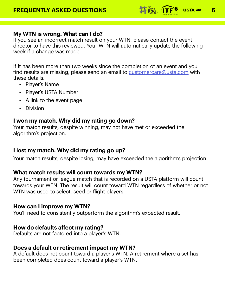#### **FREQUENTLY ASKED QUESTIONS 19 FOR LIFE 2009 1974-420 6**



# **My WTN is wrong. What can I do?**

If you see an incorrect match result on your WTN, please contact the event director to have this reviewed. Your WTN will automatically update the following week if a change was made.

If it has been more than two weeks since the completion of an event and you find results are missing, please send an email to **[customercare@usta.com](mailto:customercare%40usta.com?subject=)** with these details:

Any tournament or league match that is recorded on a USTA platform will count towards your WTN. The result will count toward WTN regardless of whether or not WTN was used to select, seed or flight players.

- Player's Name
- Player's USTA Number
- A link to the event page
- Division

# **I won my match. Why did my rating go down?**

Your match results, despite winning, may not have met or exceeded the algorithm's projection.

# **I lost my match. Why did my rating go up?**

Your match results, despite losing, may have exceeded the algorithm's projection.

## **What match results will count towards my WTN?**

# **How can I improve my WTN?**

You'll need to consistently outperform the algorithm's expected result.

#### **How do defaults affect my rating?** Defaults are not factored into a player's WTN.

#### **Does a default or retirement impact my WTN?** A default does not count toward a player's WTN. A retirement where a set has been completed does count toward a player's WTN.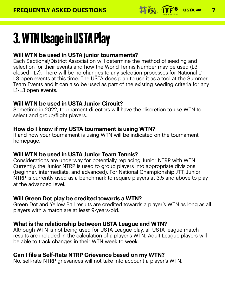# **FREQUENTLY ASKED QUESTIONS 7**



# **3. WTN Usage in USTA Play**

# **Will WTN be used in USTA junior tournaments?**

Each Sectional/District Association will determine the method of seeding and selection for their events and how the World Tennis Number may be used (L3 closed - L7). There will be no changes to any selection processes for National L1- L3 open events at this time. The USTA does plan to use it as a tool at the Summer Team Events and it can also be used as part of the existing seeding criteria for any L1-L3 open events.

# **Will WTN be used in USTA Junior Circuit?**

Sometime in 2022, tournament directors will have the discretion to use WTN to select and group/flight players.

#### **How do I know if my USTA tournament is using WTN?** If and how your tournament is using WTN will be indicated on the tournament homepage.

# **Will WTN be used in USTA Junior Team Tennis?**

Considerations are underway for potentially replacing Junior NTRP with WTN. Currently, the Junior NTRP is used to group players into appropriate divisions (beginner, intermediate, and advanced). For National Championship JTT, Junior NTRP is currently used as a benchmark to require players at 3.5 and above to play at the advanced level.

# **Will Green Dot play be credited towards a WTN?**

Green Dot and Yellow Ball results are credited towards a player's WTN as long as all players with a match are at least 9-years-old.

# **What is the relationship between USTA League and WTN?**

Although WTN is not being used for USTA League play, all USTA league match results are included in the calculation of a player's WTN. Adult League players will be able to track changes in their WTN week to week.

#### **Can I file a Self-Rate NTRP Grievance based on my WTN?** No, self-rate NTRP grievances will not take into account a player's WTN.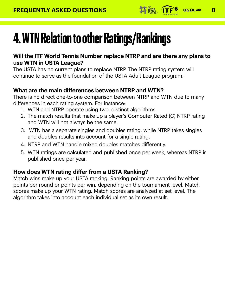

# **4. WTN Relation to other Ratings/Rankings**

**Will the ITF World Tennis Number replace NTRP and are there any plans to use WTN in USTA League?**

The USTA has no current plans to replace NTRP. The NTRP rating system will continue to serve as the foundation of the USTA Adult League program.

# **What are the main differences between NTRP and WTN?**

There is no direct one-to-one comparison between NTRP and WTN due to many differences in each rating system. For instance:

- 1. WTN and NTRP operate using two, distinct algorithms.
- 2. The match results that make up a player's Computer Rated (C) NTRP rating and WTN will not always be the same.
- 3. WTN has a separate singles and doubles rating, while NTRP takes singles and doubles results into account for a single rating.
- 4. NTRP and WTN handle mixed doubles matches differently.
- 5. WTN ratings are calculated and published once per week, whereas NTRP is

# **How does WTN rating differ from a USTA Ranking?**

Match wins make up your USTA ranking. Ranking points are awarded by either points per round or points per win, depending on the tournament level. Match scores make up your WTN rating. Match scores are analyzed at set level. The algorithm takes into account each individual set as its own result.